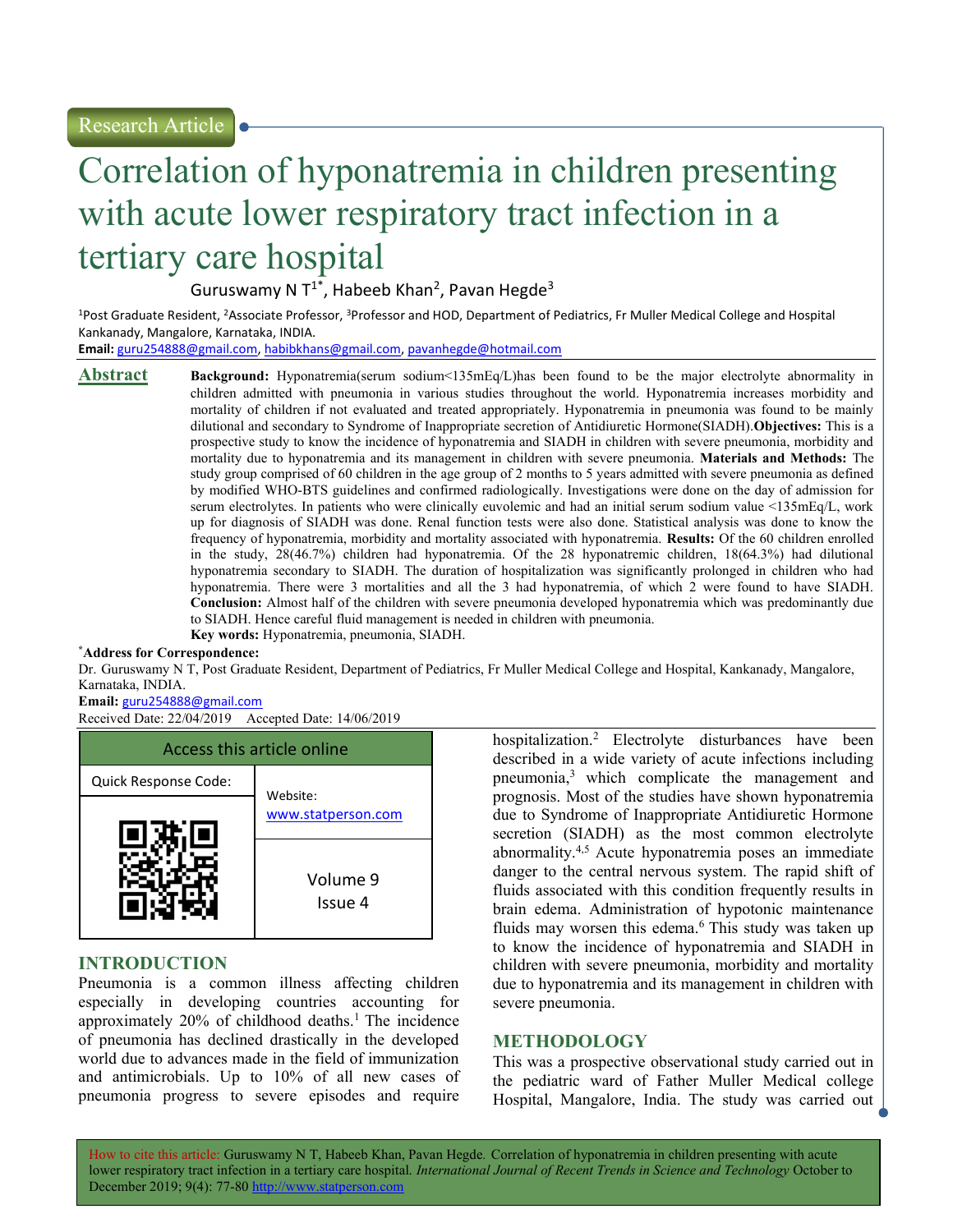# Correlation of hyponatremia in children presenting with acute lower respiratory tract infection in a tertiary care hospital

Guruswamy N  $T^{1*}$ , Habeeb Khan<sup>2</sup>, Pavan Hegde<sup>3</sup>

<sup>1</sup>Post Graduate Resident, <sup>2</sup>Associate Professor, <sup>3</sup>Professor and HOD, Department of Pediatrics, Fr Muller Medical College and Hospital Kankanady, Mangalore, Karnataka, INDIA.

Email: guru254888@gmail.com, habibkhans@gmail.com, pavanhegde@hotmail.com

Abstract Background: Hyponatremia(serum sodium<135mEq/L)has been found to be the major electrolyte abnormality in children admitted with pneumonia in various studies throughout the world. Hyponatremia increases morbidity and mortality of children if not evaluated and treated appropriately. Hyponatremia in pneumonia was found to be mainly dilutional and secondary to Syndrome of Inappropriate secretion of Antidiuretic Hormone(SIADH). Objectives: This is a prospective study to know the incidence of hyponatremia and SIADH in children with severe pneumonia, morbidity and mortality due to hyponatremia and its management in children with severe pneumonia. Materials and Methods: The study group comprised of 60 children in the age group of 2 months to 5 years admitted with severe pneumonia as defined by modified WHO-BTS guidelines and confirmed radiologically. Investigations were done on the day of admission for serum electrolytes. In patients who were clinically euvolemic and had an initial serum sodium value <135mEq/L, work up for diagnosis of SIADH was done. Renal function tests were also done. Statistical analysis was done to know the frequency of hyponatremia, morbidity and mortality associated with hyponatremia. Results: Of the 60 children enrolled in the study, 28(46.7%) children had hyponatremia. Of the 28 hyponatremic children, 18(64.3%) had dilutional hyponatremia secondary to SIADH. The duration of hospitalization was significantly prolonged in children who had hyponatremia. There were 3 mortalities and all the 3 had hyponatremia, of which 2 were found to have SIADH. Conclusion: Almost half of the children with severe pneumonia developed hyponatremia which was predominantly due to SIADH. Hence careful fluid management is needed in children with pneumonia. Key words: Hyponatremia, pneumonia, SIADH.

#### \*Address for Correspondence:

Dr. Guruswamy N T, Post Graduate Resident, Department of Pediatrics, Fr Muller Medical College and Hospital, Kankanady, Mangalore, Karnataka, INDIA.

#### Email: guru254888@gmail.com

Received Date: 22/04/2019 Accepted Date: 14/06/2019



# INTRODUCTION

Pneumonia is a common illness affecting children especially in developing countries accounting for approximately  $20\%$  of childhood deaths.<sup>1</sup> The incidence of pneumonia has declined drastically in the developed world due to advances made in the field of immunization and antimicrobials. Up to 10% of all new cases of pneumonia progress to severe episodes and require

hospitalization.<sup>2</sup> Electrolyte disturbances have been described in a wide variety of acute infections including pneumonia,<sup>3</sup> which complicate the management and prognosis. Most of the studies have shown hyponatremia due to Syndrome of Inappropriate Antidiuretic Hormone secretion (SIADH) as the most common electrolyte abnormality.4,5 Acute hyponatremia poses an immediate danger to the central nervous system. The rapid shift of fluids associated with this condition frequently results in brain edema. Administration of hypotonic maintenance fluids may worsen this edema.<sup>6</sup> This study was taken up to know the incidence of hyponatremia and SIADH in children with severe pneumonia, morbidity and mortality due to hyponatremia and its management in children with severe pneumonia.

# METHODOLOGY

This was a prospective observational study carried out in the pediatric ward of Father Muller Medical college Hospital, Mangalore, India. The study was carried out

How to cite this article: Guruswamy N T, Habeeb Khan, Pavan Hegde. Correlation of hyponatremia in children presenting with acute lower respiratory tract infection in a tertiary care hospital. International Journal of Recent Trends in Science and Technology October to December 2019; 9(4): 77-80 http://www.statperson.com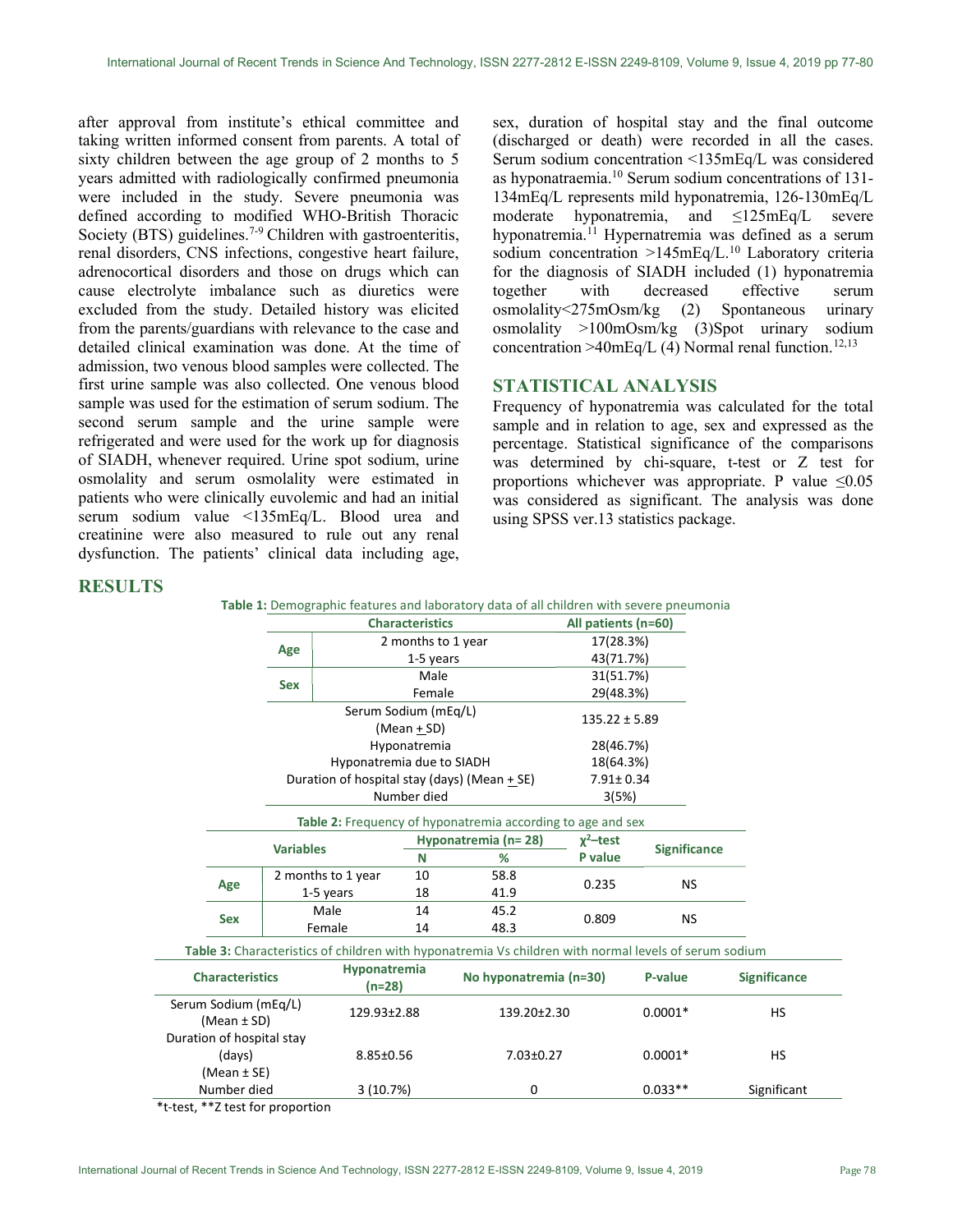after approval from institute's ethical committee and taking written informed consent from parents. A total of sixty children between the age group of 2 months to 5 years admitted with radiologically confirmed pneumonia were included in the study. Severe pneumonia was defined according to modified WHO-British Thoracic Society (BTS) guidelines.<sup>7-9</sup> Children with gastroenteritis, renal disorders, CNS infections, congestive heart failure, adrenocortical disorders and those on drugs which can cause electrolyte imbalance such as diuretics were excluded from the study. Detailed history was elicited from the parents/guardians with relevance to the case and detailed clinical examination was done. At the time of admission, two venous blood samples were collected. The first urine sample was also collected. One venous blood sample was used for the estimation of serum sodium. The second serum sample and the urine sample were refrigerated and were used for the work up for diagnosis of SIADH, whenever required. Urine spot sodium, urine osmolality and serum osmolality were estimated in patients who were clinically euvolemic and had an initial serum sodium value <135mEq/L. Blood urea and creatinine were also measured to rule out any renal dysfunction. The patients' clinical data including age,

sex, duration of hospital stay and the final outcome (discharged or death) were recorded in all the cases. Serum sodium concentration <135mEq/L was considered as hyponatraemia.<sup>10</sup> Serum sodium concentrations of 131- 134mEq/L represents mild hyponatremia, 126-130mEq/L moderate hyponatremia, and ≤125mEq/L severe hyponatremia.<sup>11</sup> Hypernatremia was defined as a serum sodium concentration  $>145$ mEq/L.<sup>10</sup> Laboratory criteria for the diagnosis of SIADH included (1) hyponatremia together with decreased effective serum osmolality<275mOsm/kg (2) Spontaneous urinary osmolality >100mOsm/kg (3)Spot urinary sodium concentration >40mEq/L (4) Normal renal function.<sup>12,13</sup>

# STATISTICAL ANALYSIS

Frequency of hyponatremia was calculated for the total sample and in relation to age, sex and expressed as the percentage. Statistical significance of the comparisons was determined by chi-square, t-test or Z test for proportions whichever was appropriate. P value  $\leq 0.05$ was considered as significant. The analysis was done using SPSS ver.13 statistics package.

## **RESULTS**

|                                                                                                       |                           |                                                             | <b>Characteristics</b> |                        |                                                | All patients (n=60) |                     |                     |
|-------------------------------------------------------------------------------------------------------|---------------------------|-------------------------------------------------------------|------------------------|------------------------|------------------------------------------------|---------------------|---------------------|---------------------|
|                                                                                                       |                           |                                                             | 2 months to 1 year     |                        |                                                | 17(28.3%)           |                     |                     |
|                                                                                                       |                           | Age                                                         |                        | 1-5 years              |                                                | 43(71.7%)           |                     |                     |
|                                                                                                       |                           |                                                             |                        | Male                   |                                                |                     | 31(51.7%)           |                     |
|                                                                                                       |                           | <b>Sex</b>                                                  |                        | Female                 |                                                | 29(48.3%)           |                     |                     |
|                                                                                                       |                           |                                                             | Serum Sodium (mEq/L)   |                        |                                                |                     |                     |                     |
|                                                                                                       |                           |                                                             |                        | (Mean $+$ SD)          |                                                | $135.22 \pm 5.89$   |                     |                     |
|                                                                                                       |                           | Hyponatremia                                                |                        |                        |                                                | 28(46.7%)           |                     |                     |
|                                                                                                       | Hyponatremia due to SIADH |                                                             |                        |                        |                                                | 18(64.3%)           |                     |                     |
|                                                                                                       |                           |                                                             |                        |                        | Duration of hospital stay (days) (Mean $+$ SE) | $7.91 \pm 0.34$     |                     |                     |
|                                                                                                       |                           |                                                             |                        | Number died            |                                                | 3(5%)               |                     |                     |
|                                                                                                       |                           | Table 2: Frequency of hyponatremia according to age and sex |                        |                        |                                                |                     |                     |                     |
|                                                                                                       |                           | Hyponatremia (n=28)                                         |                        |                        |                                                | $x^2$ -test         |                     |                     |
|                                                                                                       |                           | <b>Variables</b>                                            |                        | N                      | %                                              | P value             | <b>Significance</b> |                     |
|                                                                                                       |                           |                                                             | 2 months to 1 year     |                        | 58.8                                           | 0.235               | <b>NS</b>           |                     |
|                                                                                                       | Age                       | 1-5 years                                                   |                        | 18                     | 41.9                                           |                     |                     |                     |
|                                                                                                       |                           | Male                                                        |                        | 14                     | 45.2                                           |                     |                     |                     |
| <b>Sex</b>                                                                                            |                           | Female                                                      |                        | 14                     | 48.3                                           | 0.809               | <b>NS</b>           |                     |
| Table 3: Characteristics of children with hyponatremia Vs children with normal levels of serum sodium |                           |                                                             |                        |                        |                                                |                     |                     |                     |
|                                                                                                       | <b>Characteristics</b>    |                                                             | Hyponatremia<br>(n=28) | No hyponatremia (n=30) |                                                |                     | P-value             | <b>Significance</b> |
| Serum Sodium (mEq/L)<br>$(Mean \pm SD)$                                                               |                           |                                                             | 129.93±2.88            |                        | 139.20±2.30                                    |                     | $0.0001*$           | <b>HS</b>           |
|                                                                                                       |                           |                                                             |                        |                        |                                                |                     |                     |                     |
| Duration of hospital stay                                                                             |                           |                                                             |                        |                        |                                                |                     |                     |                     |
| (days)                                                                                                |                           |                                                             | 8.85±0.56              |                        | 7.03±0.27                                      |                     | $0.0001*$           | <b>HS</b>           |
| (Mean $\pm$ SE)                                                                                       |                           |                                                             |                        |                        |                                                |                     |                     |                     |
| Number died                                                                                           |                           |                                                             | 3(10.7%)               |                        | 0                                              |                     | $0.033**$           | Significant         |

\*t-test, \*\*Z test for proportion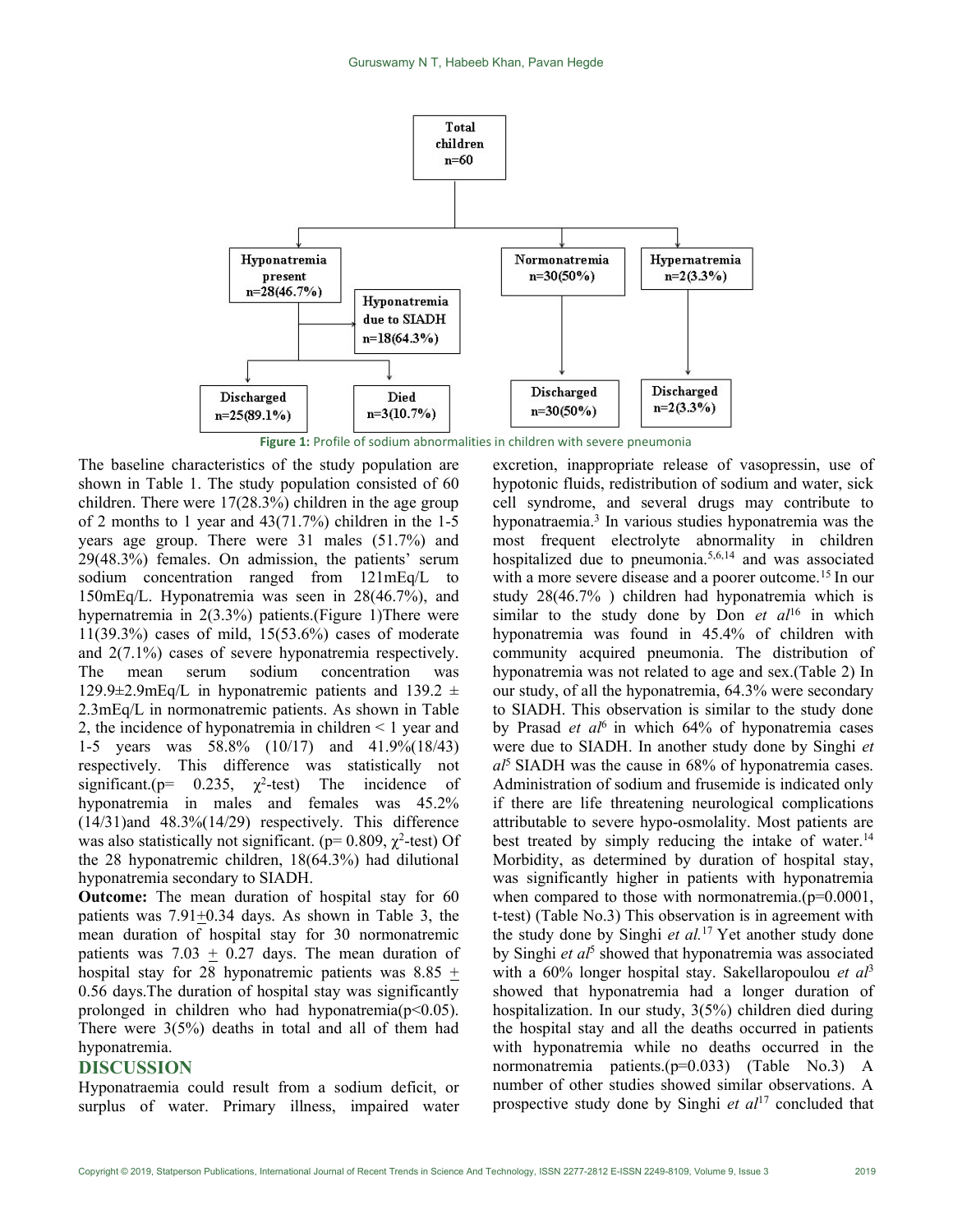

Figure 1: Profile of sodium abnormalities in children with severe pneumonia

The baseline characteristics of the study population are shown in Table 1. The study population consisted of 60 children. There were 17(28.3%) children in the age group of 2 months to 1 year and 43(71.7%) children in the 1-5 years age group. There were 31 males (51.7%) and 29(48.3%) females. On admission, the patients' serum sodium concentration ranged from 121mEq/L to 150mEq/L. Hyponatremia was seen in 28(46.7%), and hypernatremia in 2(3.3%) patients.(Figure 1)There were 11(39.3%) cases of mild, 15(53.6%) cases of moderate and 2(7.1%) cases of severe hyponatremia respectively. The mean serum sodium concentration was 129.9 $\pm$ 2.9mEq/L in hyponatremic patients and 139.2  $\pm$ 2.3mEq/L in normonatremic patients. As shown in Table 2, the incidence of hyponatremia in children < 1 year and 1-5 years was 58.8% (10/17) and 41.9%(18/43) respectively. This difference was statistically not significant.( $p= 0.235$ ,  $\chi^2$ -test) The incidence of hyponatremia in males and females was 45.2% (14/31)and 48.3%(14/29) respectively. This difference was also statistically not significant. ( $p= 0.809$ ,  $\gamma^2$ -test) Of the 28 hyponatremic children, 18(64.3%) had dilutional hyponatremia secondary to SIADH.

Outcome: The mean duration of hospital stay for 60 patients was  $7.91 \pm 0.34$  days. As shown in Table 3, the mean duration of hospital stay for 30 normonatremic patients was 7.03  $\pm$  0.27 days. The mean duration of hospital stay for 28 hyponatremic patients was  $8.85 +$ 0.56 days.The duration of hospital stay was significantly prolonged in children who had hyponatremia( $p<0.05$ ). There were 3(5%) deaths in total and all of them had hyponatremia.

### DISCUSSION

Hyponatraemia could result from a sodium deficit, or surplus of water. Primary illness, impaired water

excretion, inappropriate release of vasopressin, use of hypotonic fluids, redistribution of sodium and water, sick cell syndrome, and several drugs may contribute to hyponatraemia.<sup>3</sup> In various studies hyponatremia was the most frequent electrolyte abnormality in children hospitalized due to pneumonia.<sup>5,6,14</sup> and was associated with a more severe disease and a poorer outcome.<sup>15</sup> In our study 28(46.7% ) children had hyponatremia which is similar to the study done by Don et  $a<sup>16</sup>$  in which hyponatremia was found in 45.4% of children with community acquired pneumonia. The distribution of hyponatremia was not related to age and sex.(Table 2) In our study, of all the hyponatremia, 64.3% were secondary to SIADH. This observation is similar to the study done by Prasad *et*  $aI^6$  in which 64% of hyponatremia cases were due to SIADH. In another study done by Singhi et  $a<sup>15</sup>$  SIADH was the cause in 68% of hyponatremia cases. Administration of sodium and frusemide is indicated only if there are life threatening neurological complications attributable to severe hypo-osmolality. Most patients are best treated by simply reducing the intake of water.<sup>14</sup> Morbidity, as determined by duration of hospital stay, was significantly higher in patients with hyponatremia when compared to those with normonatremia.(p=0.0001, t-test) (Table No.3) This observation is in agreement with the study done by Singhi *et al.*<sup>17</sup> Yet another study done by Singhi et al<sup>5</sup> showed that hyponatremia was associated with a  $60\%$  longer hospital stay. Sakellaropoulou *et al*<sup>3</sup> showed that hyponatremia had a longer duration of hospitalization. In our study, 3(5%) children died during the hospital stay and all the deaths occurred in patients with hyponatremia while no deaths occurred in the normonatremia patients.(p=0.033) (Table No.3) A number of other studies showed similar observations. A prospective study done by Singhi et  $al<sup>17</sup>$  concluded that